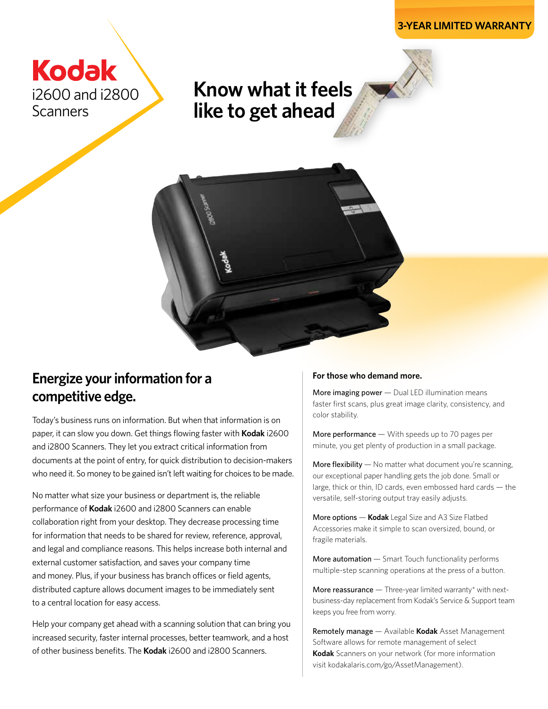

**Know what it feels like to get ahead**



# **Energize your information for a competitive edge.**

Today's business runs on information. But when that information is on paper, it can slow you down. Get things flowing faster with **Kodak** i2600 and i2800 Scanners. They let you extract critical information from documents at the point of entry, for quick distribution to decision-makers who need it. So money to be gained isn't left waiting for choices to be made.

No matter what size your business or department is, the reliable performance of **Kodak** i2600 and i2800 Scanners can enable collaboration right from your desktop. They decrease processing time for information that needs to be shared for review, reference, approval, and legal and compliance reasons. This helps increase both internal and external customer satisfaction, and saves your company time and money. Plus, if your business has branch offices or field agents, distributed capture allows document images to be immediately sent to a central location for easy access.

Help your company get ahead with a scanning solution that can bring you increased security, faster internal processes, better teamwork, and a host of other business benefits. The **Kodak** i2600 and i2800 Scanners.

### **For those who demand more.**

More imaging power - Dual LED illumination means faster first scans, plus great image clarity, consistency, and color stability.

More performance — With speeds up to 70 pages per minute, you get plenty of production in a small package.

**More flexibility**  $-$  No matter what document you're scanning, our exceptional paper handling gets the job done. Small or large, thick or thin, ID cards, even embossed hard cards — the versatile, self-storing output tray easily adjusts.

More options — **Kodak** Legal Size and A3 Size Flatbed Accessories make it simple to scan oversized, bound, or fragile materials.

**More automation**  $-$  Smart Touch functionality performs multiple-step scanning operations at the press of a button.

More reassurance  $-$  Three-year limited warranty\* with nextbusiness-day replacement from Kodak's Service & Support team keeps you free from worry.

Remotely manage — Available **Kodak** Asset Management Software allows for remote management of select **Kodak** Scanners on your network (for more information visit kodakalaris.com/go/AssetManagement).